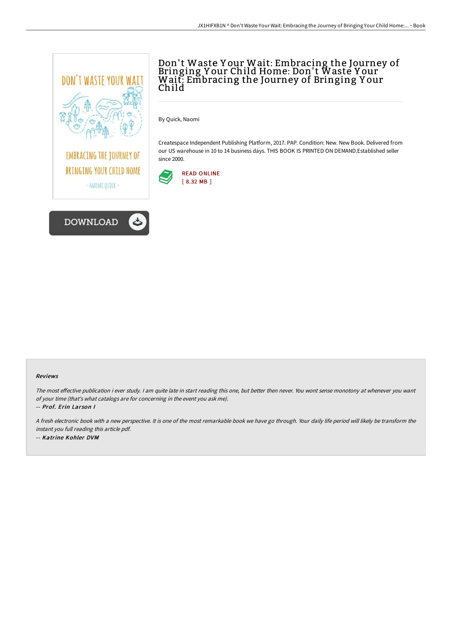



## Don't Waste Y our Wait: Embracing the Journey of Bringing Y our Child Home: Don't Waste Y our Wait: Embracing the Journey of Bringing Y our Child

By Quick, Naomi

Createspace Independent Publishing Platform, 2017. PAP. Condition: New. New Book. Delivered from our US warehouse in 10 to 14 business days. THIS BOOK IS PRINTED ON DEMAND.Established seller since 2000.



## Reviews

The most effective publication i ever study. I am quite late in start reading this one, but better then never. You wont sense monotony at whenever you want of your time (that's what catalogs are for concerning in the event you ask me).

-- Prof. Erin Lar son I

<sup>A</sup> fresh electronic book with <sup>a</sup> new perspective. It is one of the most remarkable book we have go through. Your daily life period will likely be transform the instant you full reading this article pdf. -- Katrine Kohler DVM